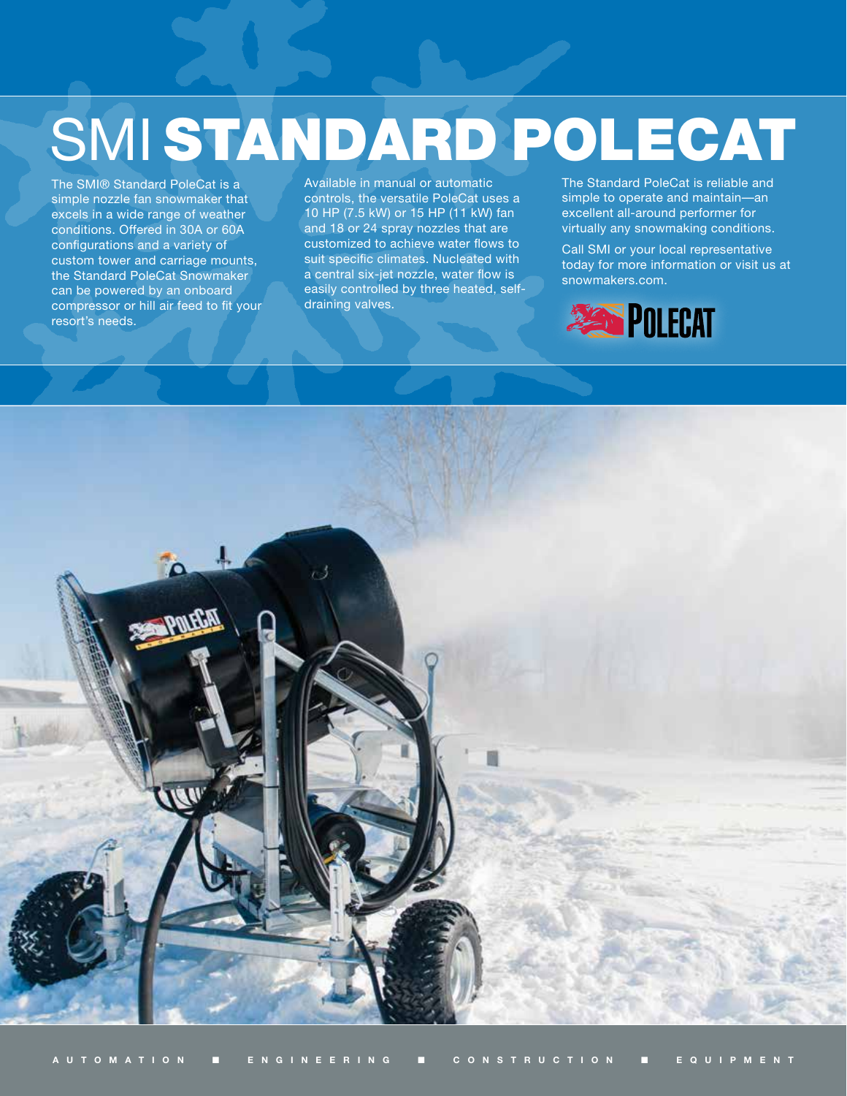## SMI STANDARD POLECAT

The SMI® Standard PoleCat is a simple nozzle fan snowmaker that excels in a wide range of weather conditions. Offered in 30A or 60A configurations and a variety of custom tower and carriage mounts, the Standard PoleCat Snowmaker can be powered by an onboard compressor or hill air feed to fit your resort's needs.

Available in manual or automatic controls, the versatile PoleCat uses a 10 HP (7.5 kW) or 15 HP (11 kW) fan and 18 or 24 spray nozzles that are customized to achieve water flows to suit specific climates. Nucleated with a central six-jet nozzle, water flow is easily controlled by three heated, selfdraining valves.

The Standard PoleCat is reliable and simple to operate and maintain—an excellent all-around performer for virtually any snowmaking conditions.

Call SMI or your local representative today for more information or visit us at snowmakers.com.